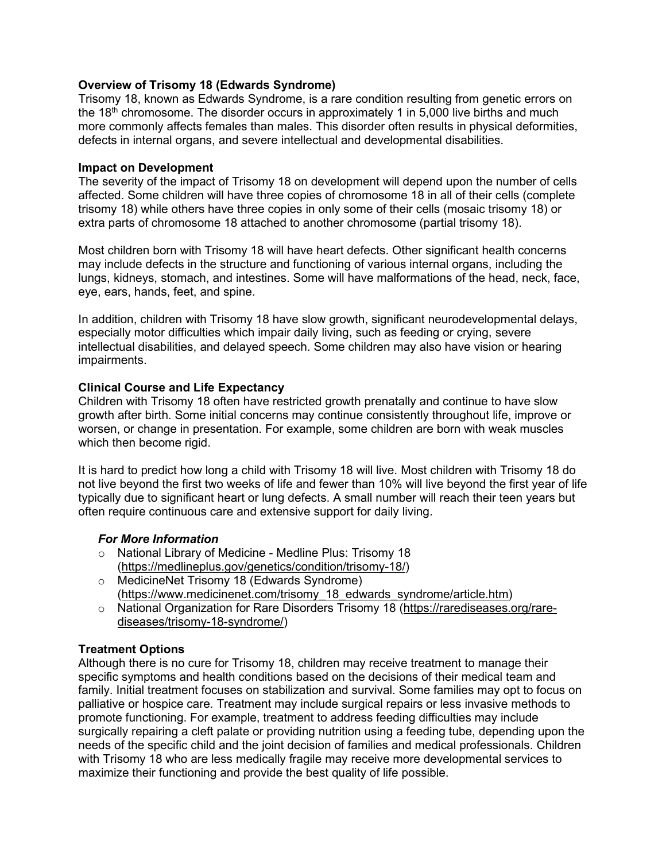#### **Overview of Trisomy 18 (Edwards Syndrome)**

Trisomy 18, known as Edwards Syndrome, is a rare condition resulting from genetic errors on the  $18<sup>th</sup>$  chromosome. The disorder occurs in approximately 1 in 5,000 live births and much more commonly affects females than males. This disorder often results in physical deformities, defects in internal organs, and severe intellectual and developmental disabilities.

#### **Impact on Development**

The severity of the impact of Trisomy 18 on development will depend upon the number of cells affected. Some children will have three copies of chromosome 18 in all of their cells (complete trisomy 18) while others have three copies in only some of their cells (mosaic trisomy 18) or extra parts of chromosome 18 attached to another chromosome (partial trisomy 18).

Most children born with Trisomy 18 will have heart defects. Other significant health concerns may include defects in the structure and functioning of various internal organs, including the lungs, kidneys, stomach, and intestines. Some will have malformations of the head, neck, face, eye, ears, hands, feet, and spine.

In addition, children with Trisomy 18 have slow growth, significant neurodevelopmental delays, especially motor difficulties which impair daily living, such as feeding or crying, severe intellectual disabilities, and delayed speech. Some children may also have vision or hearing impairments.

#### **Clinical Course and Life Expectancy**

Children with Trisomy 18 often have restricted growth prenatally and continue to have slow growth after birth. Some initial concerns may continue consistently throughout life, improve or worsen, or change in presentation. For example, some children are born with weak muscles which then become rigid.

It is hard to predict how long a child with Trisomy 18 will live. Most children with Trisomy 18 do not live beyond the first two weeks of life and fewer than 10% will live beyond the first year of life typically due to significant heart or lung defects. A small number will reach their teen years but often require continuous care and extensive support for daily living.

#### *For More Information*

- o National Library of Medicine Medline Plus: Trisomy 18 [\(https://medlineplus.gov/genetics/condition/trisomy-18/\)](https://medlineplus.gov/genetics/condition/trisomy-18/)
- o MedicineNet Trisomy 18 (Edwards Syndrome) [\(https://www.medicinenet.com/trisomy\\_18\\_edwards\\_syndrome/article.htm\)](https://www.medicinenet.com/trisomy_18_edwards_syndrome/article.htm)
- o National Organization for Rare Disorders Trisomy 18 [\(https://rarediseases.org/rare](https://rarediseases.org/rare-diseases/trisomy-18-syndrome/)[diseases/trisomy-18-syndrome/\)](https://rarediseases.org/rare-diseases/trisomy-18-syndrome/)

#### **Treatment Options**

Although there is no cure for Trisomy 18, children may receive treatment to manage their specific symptoms and health conditions based on the decisions of their medical team and family. Initial treatment focuses on stabilization and survival. Some families may opt to focus on palliative or hospice care. Treatment may include surgical repairs or less invasive methods to promote functioning. For example, treatment to address feeding difficulties may include surgically repairing a cleft palate or providing nutrition using a feeding tube, depending upon the needs of the specific child and the joint decision of families and medical professionals. Children with Trisomy 18 who are less medically fragile may receive more developmental services to maximize their functioning and provide the best quality of life possible.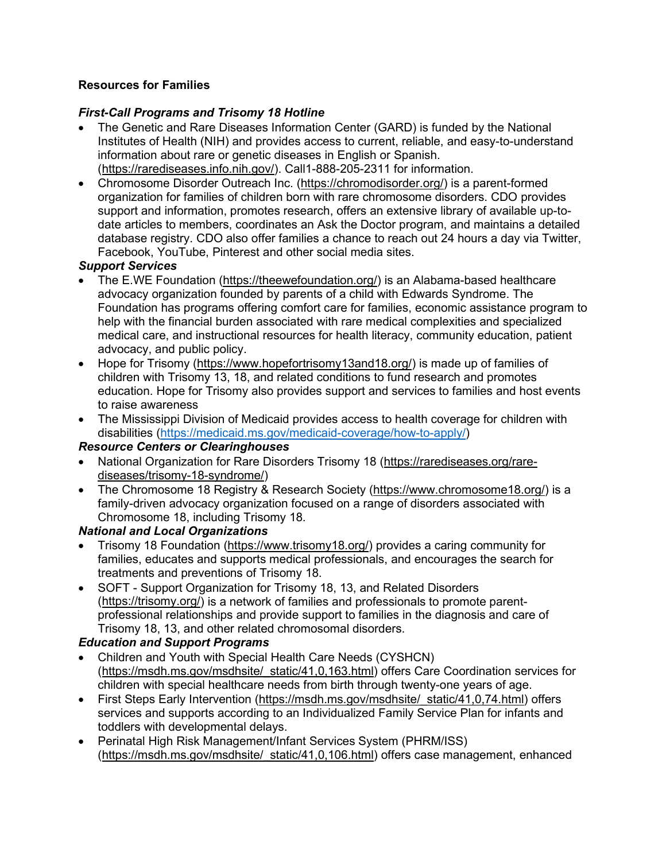### **Resources for Families**

## *First-Call Programs and Trisomy 18 Hotline*

- The Genetic and Rare Diseases Information Center (GARD) is funded by the National Institutes of Health (NIH) and provides access to current, reliable, and easy-to-understand information about rare or genetic diseases in English or Spanish. [\(https://rarediseases.info.nih.gov/\)](https://rarediseases.info.nih.gov/). Call1-888-205-2311 for information.
- Chromosome Disorder Outreach Inc. [\(https://chromodisorder.org/\)](https://chromodisorder.org/) is a parent-formed organization for families of children born with rare chromosome disorders. CDO provides support and information, promotes research, offers an extensive library of available up-todate articles to members, coordinates an Ask the Doctor program, and maintains a detailed database registry. CDO also offer families a chance to reach out 24 hours a day via Twitter, Facebook, YouTube, Pinterest and other social media sites.

### *Support Services*

- The E.WE Foundation [\(https://theewefoundation.org/\)](https://theewefoundation.org/) is an Alabama-based healthcare advocacy organization founded by parents of a child with Edwards Syndrome. The Foundation has programs offering comfort care for families, economic assistance program to help with the financial burden associated with rare medical complexities and specialized medical care, and instructional resources for health literacy, community education, patient advocacy, and public policy.
- Hope for Trisomy [\(https://www.hopefortrisomy13and18.org/\)](https://www.hopefortrisomy13and18.org/) is made up of families of children with Trisomy 13, 18, and related conditions to fund research and promotes education. Hope for Trisomy also provides support and services to families and host events to raise awareness
- The Mississippi Division of Medicaid provides access to health coverage for children with disabilities [\(https://medicaid.ms.gov/medicaid-coverage/how-to-apply/\)](https://medicaid.ms.gov/medicaid-coverage/how-to-apply/)

### *Resource Centers or Clearinghouses*

- National Organization for Rare Disorders Trisomy 18 [\(https://rarediseases.org/rare](https://rarediseases.org/rare-diseases/trisomy-18-syndrome/)[diseases/trisomy-18-syndrome/\)](https://rarediseases.org/rare-diseases/trisomy-18-syndrome/)
- The Chromosome 18 Registry & Research Society [\(https://www.chromosome18.org/\)](https://www.chromosome18.org/) is a family-driven advocacy organization focused on a range of disorders associated with Chromosome 18, including Trisomy 18.

### *National and Local Organizations*

- Trisomy 18 Foundation [\(https://www.trisomy18.org/\)](https://www.trisomy18.org/) provides a caring community for families, educates and supports medical professionals, and encourages the search for treatments and preventions of Trisomy 18.
- SOFT Support Organization for Trisomy 18, 13, and Related Disorders [\(https://trisomy.org/\)](https://trisomy.org/) is a network of families and professionals to promote parentprofessional relationships and provide support to families in the diagnosis and care of Trisomy 18, 13, and other related chromosomal disorders.

### *Education and Support Programs*

- Children and Youth with Special Health Care Needs (CYSHCN) [\(https://msdh.ms.gov/msdhsite/\\_static/41,0,163.html\)](https://msdh.ms.gov/msdhsite/_static/41,0,163.html) offers Care Coordination services for children with special healthcare needs from birth through twenty-one years of age.
- First Steps Early Intervention (https://msdh.ms.gov/msdhsite/ static/41,0,74.html) offers services and supports according to an Individualized Family Service Plan for infants and toddlers with developmental delays.
- Perinatal High Risk Management/Infant Services System (PHRM/ISS) [\(https://msdh.ms.gov/msdhsite/\\_static/41,0,106.html\)](https://msdh.ms.gov/msdhsite/_static/41,0,106.html) offers case management, enhanced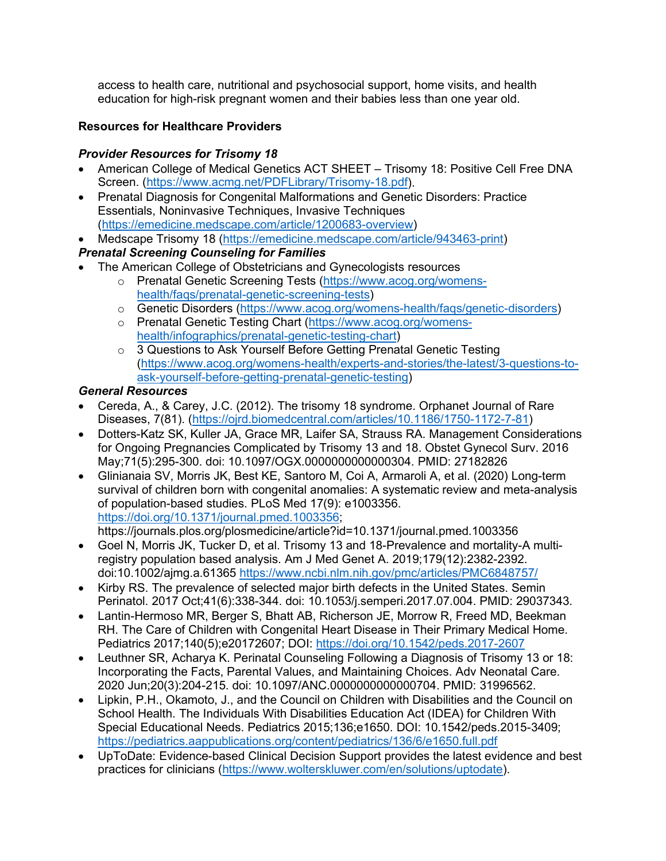access to health care, nutritional and psychosocial support, home visits, and health education for high-risk pregnant women and their babies less than one year old.

## **Resources for Healthcare Providers**

## *Provider Resources for Trisomy 18*

- American College of Medical Genetics ACT SHEET Trisomy 18: Positive Cell Free DNA Screen. [\(https://www.acmg.net/PDFLibrary/Trisomy-18.pdf\)](https://www.acmg.net/PDFLibrary/Trisomy-18.pdf).
- Prenatal Diagnosis for Congenital Malformations and Genetic Disorders: Practice Essentials, Noninvasive Techniques, Invasive Techniques [\(https://emedicine.medscape.com/article/1200683-overview\)](https://emedicine.medscape.com/article/1200683-overview)
- Medscape Trisomy 18 [\(https://emedicine.medscape.com/article/943463-print\)](https://emedicine.medscape.com/article/943463-print)

# *Prenatal Screening Counseling for Families*

- The American College of Obstetricians and Gynecologists resources
	- o Prenatal Genetic Screening Tests [\(https://www.acog.org/womens](https://www.acog.org/womens-health/faqs/prenatal-genetic-screening-tests)[health/faqs/prenatal-genetic-screening-tests\)](https://www.acog.org/womens-health/faqs/prenatal-genetic-screening-tests)
	- o Genetic Disorders [\(https://www.acog.org/womens-health/faqs/genetic-disorders\)](https://www.acog.org/womens-health/faqs/genetic-disorders)
	- o Prenatal Genetic Testing Chart [\(https://www.acog.org/womens](https://www.acog.org/womens-health/infographics/prenatal-genetic-testing-chart)[health/infographics/prenatal-genetic-testing-chart\)](https://www.acog.org/womens-health/infographics/prenatal-genetic-testing-chart)
	- o 3 Questions to Ask Yourself Before Getting Prenatal Genetic Testing [\(https://www.acog.org/womens-health/experts-and-stories/the-latest/3-questions-to](https://www.acog.org/womens-health/experts-and-stories/the-latest/3-questions-to-ask-yourself-before-getting-prenatal-genetic-testing)[ask-yourself-before-getting-prenatal-genetic-testing\)](https://www.acog.org/womens-health/experts-and-stories/the-latest/3-questions-to-ask-yourself-before-getting-prenatal-genetic-testing)

### *General Resources*

- Cereda, A., & Carey, J.C. (2012). The trisomy 18 syndrome. Orphanet Journal of Rare Diseases, 7(81). [\(https://ojrd.biomedcentral.com/articles/10.1186/1750-1172-7-81\)](https://ojrd.biomedcentral.com/articles/10.1186/1750-1172-7-81)
- Dotters-Katz SK, Kuller JA, Grace MR, Laifer SA, Strauss RA. Management Considerations for Ongoing Pregnancies Complicated by Trisomy 13 and 18. Obstet Gynecol Surv. 2016 May;71(5):295-300. doi: 10.1097/OGX.0000000000000304. PMID: 27182826
- Glinianaia SV, Morris JK, Best KE, Santoro M, Coi A, Armaroli A, et al. (2020) Long-term survival of children born with congenital anomalies: A systematic review and meta-analysis of population-based studies. PLoS Med 17(9): e1003356. [https://doi.org/10.1371/journal.pmed.1003356;](https://doi.org/10.1371/journal.pmed.1003356)

https://journals.plos.org/plosmedicine/article?id=10.1371/journal.pmed.1003356

- Goel N, Morris JK, Tucker D, et al. Trisomy 13 and 18-Prevalence and mortality-A multiregistry population based analysis. Am J Med Genet A. 2019;179(12):2382-2392. doi:10.1002/ajmg.a.61365<https://www.ncbi.nlm.nih.gov/pmc/articles/PMC6848757/>
- Kirby RS. The prevalence of selected major birth defects in the United States. Semin Perinatol. 2017 Oct;41(6):338-344. doi: 10.1053/j.semperi.2017.07.004. PMID: 29037343.
- Lantin-Hermoso MR, Berger S, Bhatt AB, Richerson JE, Morrow R, Freed MD, Beekman RH. The Care of Children with Congenital Heart Disease in Their Primary Medical Home. Pediatrics 2017;140(5);e20172607; DOI:<https://doi.org/10.1542/peds.2017-2607>
- Leuthner SR, Acharya K. Perinatal Counseling Following a Diagnosis of Trisomy 13 or 18: Incorporating the Facts, Parental Values, and Maintaining Choices. Adv Neonatal Care. 2020 Jun;20(3):204-215. doi: 10.1097/ANC.0000000000000704. PMID: 31996562.
- Lipkin, P.H., Okamoto, J., and the Council on Children with Disabilities and the Council on School Health. The Individuals With Disabilities Education Act (IDEA) for Children With Special Educational Needs. Pediatrics 2015;136;e1650. DOI: 10.1542/peds.2015-3409; <https://pediatrics.aappublications.org/content/pediatrics/136/6/e1650.full.pdf>
- UpToDate: Evidence-based Clinical Decision Support provides the latest evidence and best practices for clinicians [\(https://www.wolterskluwer.com/en/solutions/uptodate\)](https://www.wolterskluwer.com/en/solutions/uptodate).